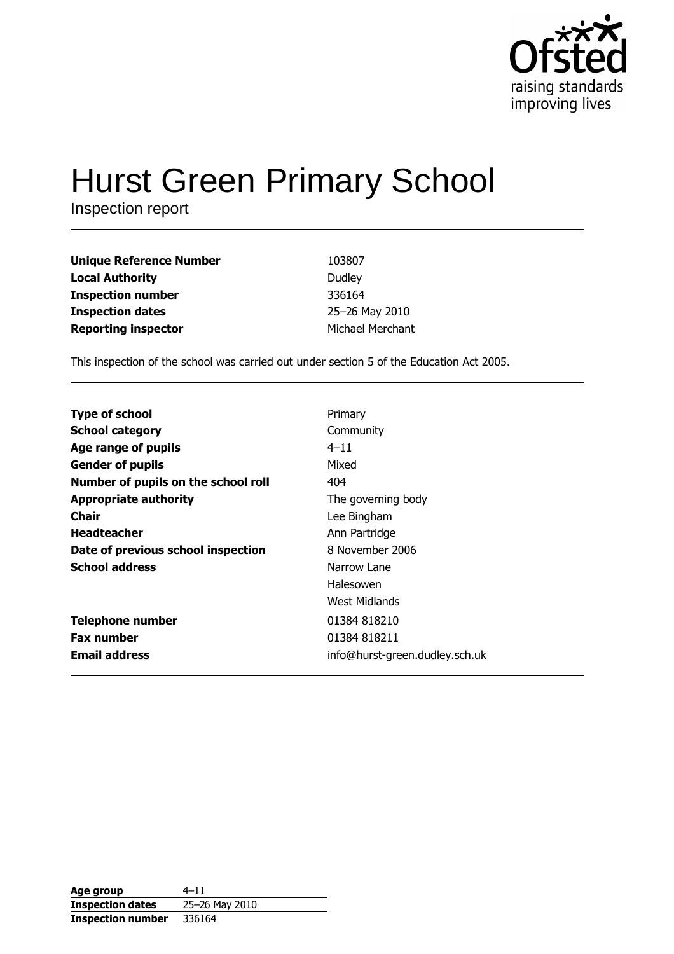

# **Hurst Green Primary School**

Inspection report

| <b>Unique Reference Number</b> | 103807           |
|--------------------------------|------------------|
| <b>Local Authority</b>         | Dudley           |
| <b>Inspection number</b>       | 336164           |
| <b>Inspection dates</b>        | 25-26 May 2010   |
| <b>Reporting inspector</b>     | Michael Merchant |

This inspection of the school was carried out under section 5 of the Education Act 2005.

| <b>Type of school</b>               | Primary                        |
|-------------------------------------|--------------------------------|
|                                     |                                |
| <b>School category</b>              | Community                      |
| Age range of pupils                 | $4 - 11$                       |
| <b>Gender of pupils</b>             | Mixed                          |
| Number of pupils on the school roll | 404                            |
| <b>Appropriate authority</b>        | The governing body             |
| Chair                               | Lee Bingham                    |
| <b>Headteacher</b>                  | Ann Partridge                  |
| Date of previous school inspection  | 8 November 2006                |
| <b>School address</b>               | Narrow Lane                    |
|                                     | Halesowen                      |
|                                     | West Midlands                  |
| <b>Telephone number</b>             | 01384 818210                   |
| <b>Fax number</b>                   | 01384 818211                   |
| <b>Email address</b>                | info@hurst-green.dudley.sch.uk |

| Age group                | $4 - 11$       |
|--------------------------|----------------|
| <b>Inspection dates</b>  | 25-26 May 2010 |
| <b>Inspection number</b> | 336164         |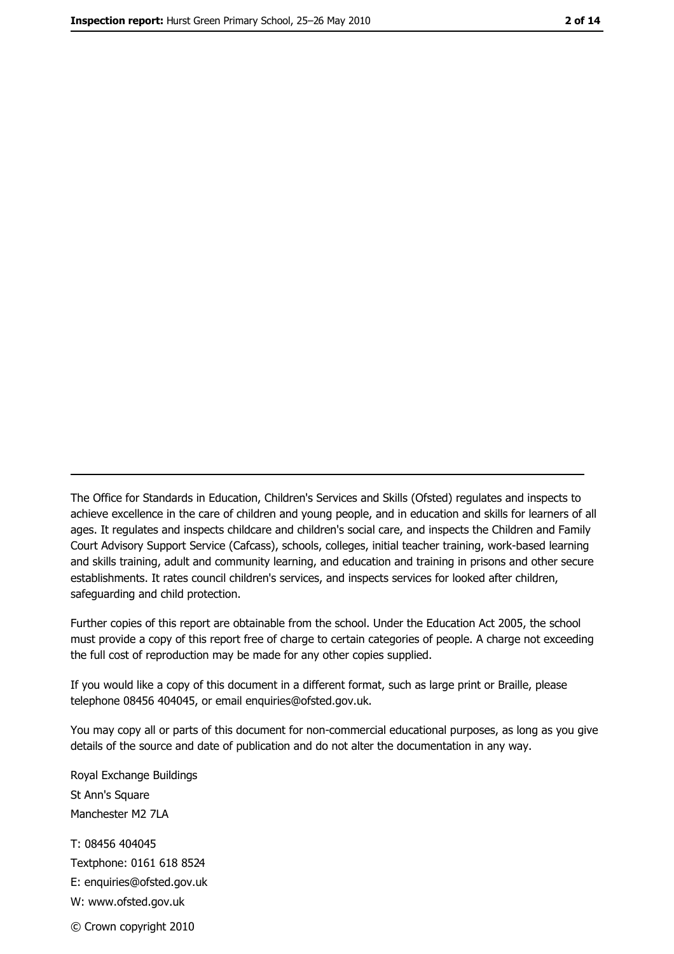The Office for Standards in Education, Children's Services and Skills (Ofsted) regulates and inspects to achieve excellence in the care of children and young people, and in education and skills for learners of all ages. It regulates and inspects childcare and children's social care, and inspects the Children and Family Court Advisory Support Service (Cafcass), schools, colleges, initial teacher training, work-based learning and skills training, adult and community learning, and education and training in prisons and other secure establishments. It rates council children's services, and inspects services for looked after children, safequarding and child protection.

Further copies of this report are obtainable from the school. Under the Education Act 2005, the school must provide a copy of this report free of charge to certain categories of people. A charge not exceeding the full cost of reproduction may be made for any other copies supplied.

If you would like a copy of this document in a different format, such as large print or Braille, please telephone 08456 404045, or email enquiries@ofsted.gov.uk.

You may copy all or parts of this document for non-commercial educational purposes, as long as you give details of the source and date of publication and do not alter the documentation in any way.

Royal Exchange Buildings St Ann's Square Manchester M2 7LA T: 08456 404045 Textphone: 0161 618 8524 E: enquiries@ofsted.gov.uk W: www.ofsted.gov.uk © Crown copyright 2010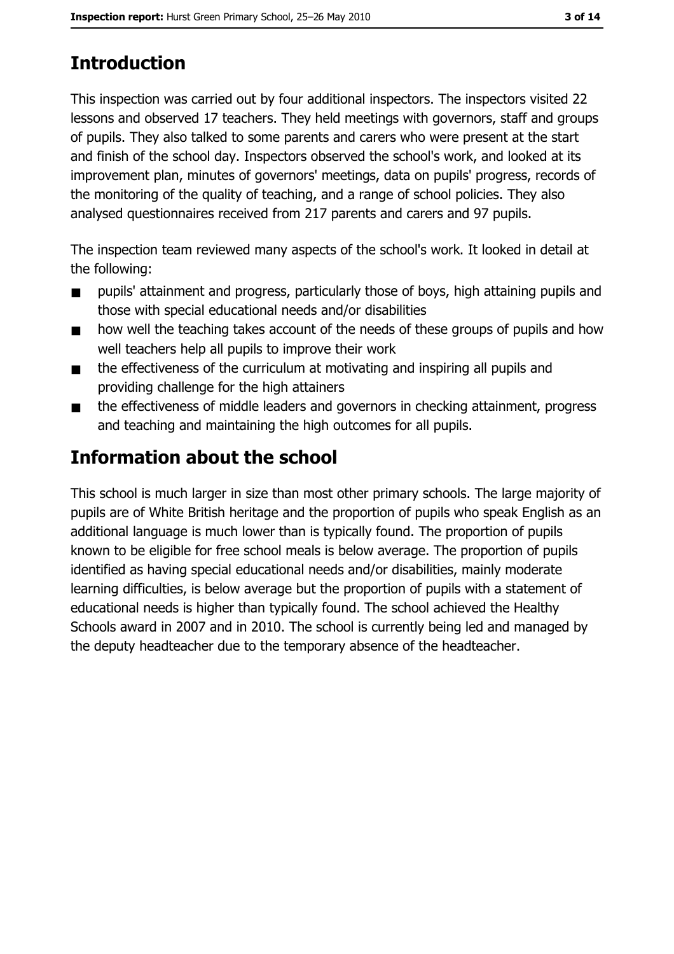# **Introduction**

This inspection was carried out by four additional inspectors. The inspectors visited 22 lessons and observed 17 teachers. They held meetings with governors, staff and groups of pupils. They also talked to some parents and carers who were present at the start and finish of the school day. Inspectors observed the school's work, and looked at its improvement plan, minutes of governors' meetings, data on pupils' progress, records of the monitoring of the quality of teaching, and a range of school policies. They also analysed questionnaires received from 217 parents and carers and 97 pupils.

The inspection team reviewed many aspects of the school's work. It looked in detail at the following:

- pupils' attainment and progress, particularly those of boys, high attaining pupils and  $\blacksquare$ those with special educational needs and/or disabilities
- how well the teaching takes account of the needs of these groups of pupils and how  $\blacksquare$ well teachers help all pupils to improve their work
- the effectiveness of the curriculum at motivating and inspiring all pupils and  $\blacksquare$ providing challenge for the high attainers
- the effectiveness of middle leaders and governors in checking attainment, progress  $\blacksquare$ and teaching and maintaining the high outcomes for all pupils.

# **Information about the school**

This school is much larger in size than most other primary schools. The large majority of pupils are of White British heritage and the proportion of pupils who speak English as an additional language is much lower than is typically found. The proportion of pupils known to be eligible for free school meals is below average. The proportion of pupils identified as having special educational needs and/or disabilities, mainly moderate learning difficulties, is below average but the proportion of pupils with a statement of educational needs is higher than typically found. The school achieved the Healthy Schools award in 2007 and in 2010. The school is currently being led and managed by the deputy headteacher due to the temporary absence of the headteacher.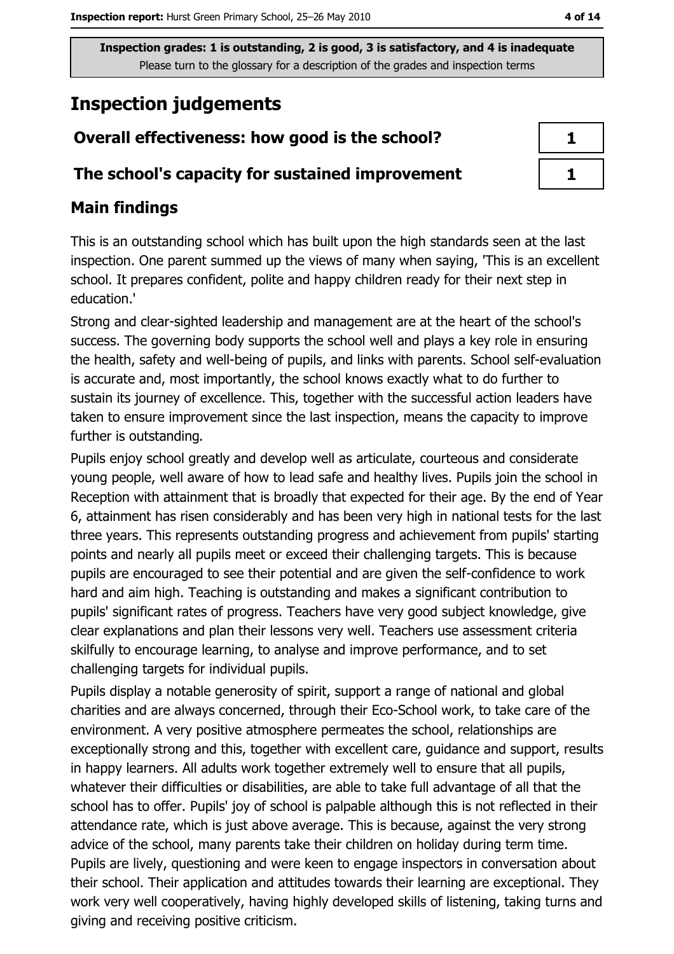## **Inspection judgements**

## Overall effectiveness: how good is the school?

#### The school's capacity for sustained improvement

## **Main findings**

This is an outstanding school which has built upon the high standards seen at the last inspection. One parent summed up the views of many when saying, 'This is an excellent school. It prepares confident, polite and happy children ready for their next step in education.'

Strong and clear-sighted leadership and management are at the heart of the school's success. The governing body supports the school well and plays a key role in ensuring the health, safety and well-being of pupils, and links with parents. School self-evaluation is accurate and, most importantly, the school knows exactly what to do further to sustain its journey of excellence. This, together with the successful action leaders have taken to ensure improvement since the last inspection, means the capacity to improve further is outstanding.

Pupils enjoy school greatly and develop well as articulate, courteous and considerate young people, well aware of how to lead safe and healthy lives. Pupils join the school in Reception with attainment that is broadly that expected for their age. By the end of Year 6, attainment has risen considerably and has been very high in national tests for the last three years. This represents outstanding progress and achievement from pupils' starting points and nearly all pupils meet or exceed their challenging targets. This is because pupils are encouraged to see their potential and are given the self-confidence to work hard and aim high. Teaching is outstanding and makes a significant contribution to pupils' significant rates of progress. Teachers have very good subject knowledge, give clear explanations and plan their lessons very well. Teachers use assessment criteria skilfully to encourage learning, to analyse and improve performance, and to set challenging targets for individual pupils.

Pupils display a notable generosity of spirit, support a range of national and global charities and are always concerned, through their Eco-School work, to take care of the environment. A very positive atmosphere permeates the school, relationships are exceptionally strong and this, together with excellent care, guidance and support, results in happy learners. All adults work together extremely well to ensure that all pupils, whatever their difficulties or disabilities, are able to take full advantage of all that the school has to offer. Pupils' joy of school is palpable although this is not reflected in their attendance rate, which is just above average. This is because, against the very strong advice of the school, many parents take their children on holiday during term time. Pupils are lively, questioning and were keen to engage inspectors in conversation about their school. Their application and attitudes towards their learning are exceptional. They work very well cooperatively, having highly developed skills of listening, taking turns and giving and receiving positive criticism.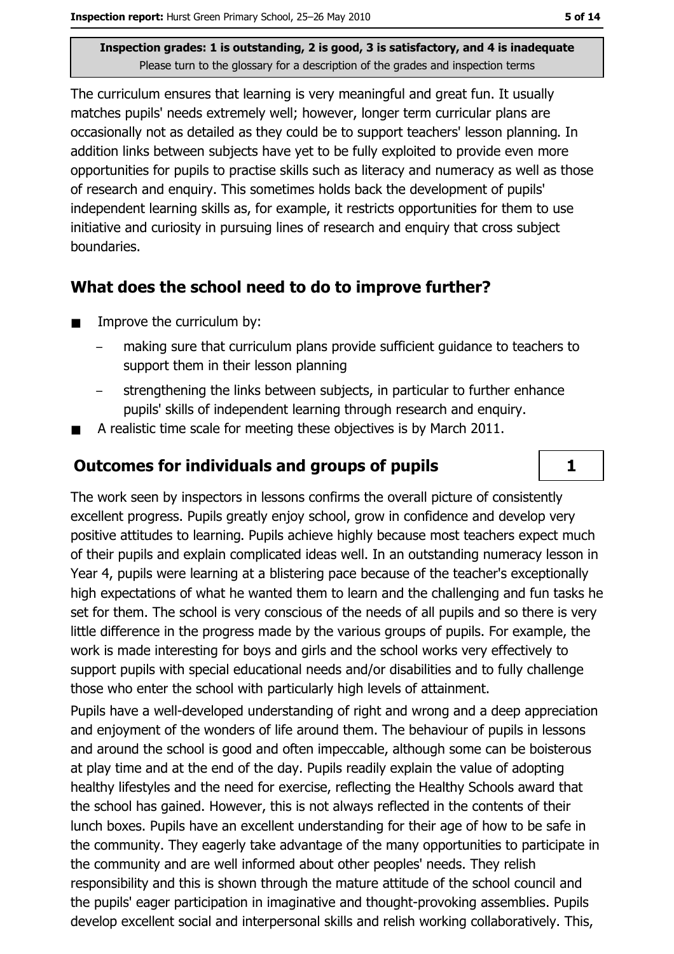The curriculum ensures that learning is very meaningful and great fun. It usually matches pupils' needs extremely well; however, longer term curricular plans are occasionally not as detailed as they could be to support teachers' lesson planning. In addition links between subjects have yet to be fully exploited to provide even more opportunities for pupils to practise skills such as literacy and numeracy as well as those of research and enguiry. This sometimes holds back the development of pupils' independent learning skills as, for example, it restricts opportunities for them to use initiative and curiosity in pursuing lines of research and enquiry that cross subject boundaries.

#### What does the school need to do to improve further?

- Improve the curriculum by:  $\blacksquare$ 
	- making sure that curriculum plans provide sufficient quidance to teachers to support them in their lesson planning
	- strengthening the links between subjects, in particular to further enhance pupils' skills of independent learning through research and enguiry.
- A realistic time scale for meeting these objectives is by March 2011.

#### **Outcomes for individuals and groups of pupils**

The work seen by inspectors in lessons confirms the overall picture of consistently excellent progress. Pupils greatly enjoy school, grow in confidence and develop very positive attitudes to learning. Pupils achieve highly because most teachers expect much of their pupils and explain complicated ideas well. In an outstanding numeracy lesson in Year 4, pupils were learning at a blistering pace because of the teacher's exceptionally high expectations of what he wanted them to learn and the challenging and fun tasks he set for them. The school is very conscious of the needs of all pupils and so there is very little difference in the progress made by the various groups of pupils. For example, the work is made interesting for boys and girls and the school works very effectively to support pupils with special educational needs and/or disabilities and to fully challenge those who enter the school with particularly high levels of attainment.

Pupils have a well-developed understanding of right and wrong and a deep appreciation and enjoyment of the wonders of life around them. The behaviour of pupils in lessons and around the school is good and often impeccable, although some can be boisterous at play time and at the end of the day. Pupils readily explain the value of adopting healthy lifestyles and the need for exercise, reflecting the Healthy Schools award that the school has gained. However, this is not always reflected in the contents of their lunch boxes. Pupils have an excellent understanding for their age of how to be safe in the community. They eagerly take advantage of the many opportunities to participate in the community and are well informed about other peoples' needs. They relish responsibility and this is shown through the mature attitude of the school council and the pupils' eager participation in imaginative and thought-provoking assemblies. Pupils develop excellent social and interpersonal skills and relish working collaboratively. This,

 $\mathbf{1}$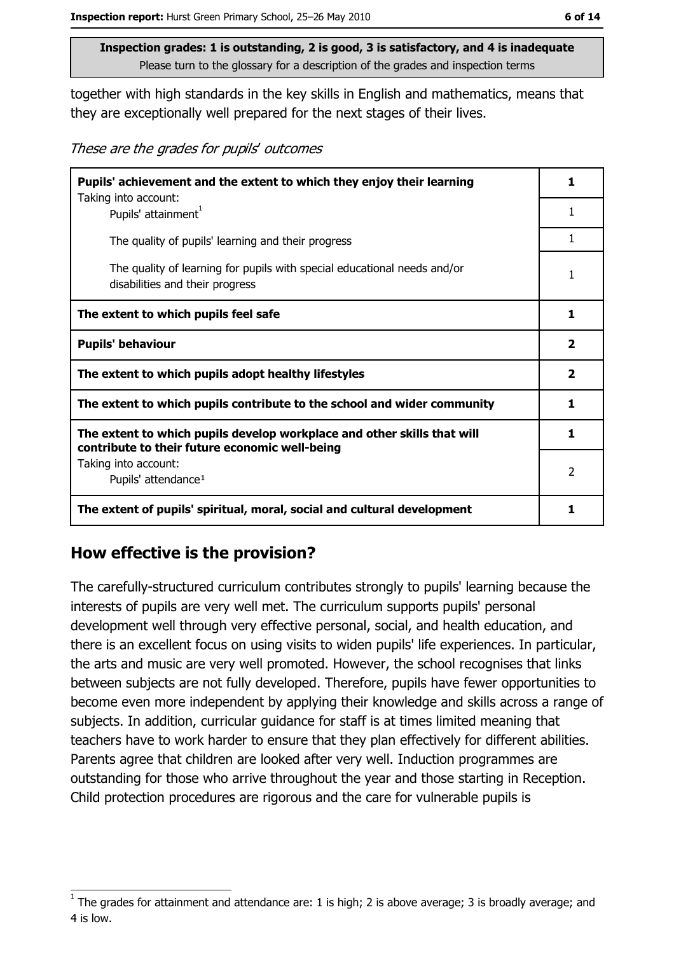together with high standards in the key skills in English and mathematics, means that they are exceptionally well prepared for the next stages of their lives.

These are the grades for pupils' outcomes

| Pupils' achievement and the extent to which they enjoy their learning                                                     |                         |  |
|---------------------------------------------------------------------------------------------------------------------------|-------------------------|--|
| Taking into account:<br>Pupils' attainment <sup>1</sup>                                                                   | 1                       |  |
| The quality of pupils' learning and their progress                                                                        | 1                       |  |
| The quality of learning for pupils with special educational needs and/or<br>disabilities and their progress               | 1                       |  |
| The extent to which pupils feel safe                                                                                      | 1                       |  |
| <b>Pupils' behaviour</b>                                                                                                  | $\overline{\mathbf{2}}$ |  |
| The extent to which pupils adopt healthy lifestyles                                                                       | $\mathbf{2}$            |  |
| The extent to which pupils contribute to the school and wider community                                                   |                         |  |
| The extent to which pupils develop workplace and other skills that will<br>contribute to their future economic well-being | 1                       |  |
| Taking into account:<br>Pupils' attendance <sup>1</sup>                                                                   | 2                       |  |
| The extent of pupils' spiritual, moral, social and cultural development                                                   | 1                       |  |

#### How effective is the provision?

The carefully-structured curriculum contributes strongly to pupils' learning because the interests of pupils are very well met. The curriculum supports pupils' personal development well through very effective personal, social, and health education, and there is an excellent focus on using visits to widen pupils' life experiences. In particular, the arts and music are very well promoted. However, the school recognises that links between subjects are not fully developed. Therefore, pupils have fewer opportunities to become even more independent by applying their knowledge and skills across a range of subjects. In addition, curricular quidance for staff is at times limited meaning that teachers have to work harder to ensure that they plan effectively for different abilities. Parents agree that children are looked after very well. Induction programmes are outstanding for those who arrive throughout the year and those starting in Reception. Child protection procedures are rigorous and the care for vulnerable pupils is

The grades for attainment and attendance are: 1 is high; 2 is above average; 3 is broadly average; and 4 is low.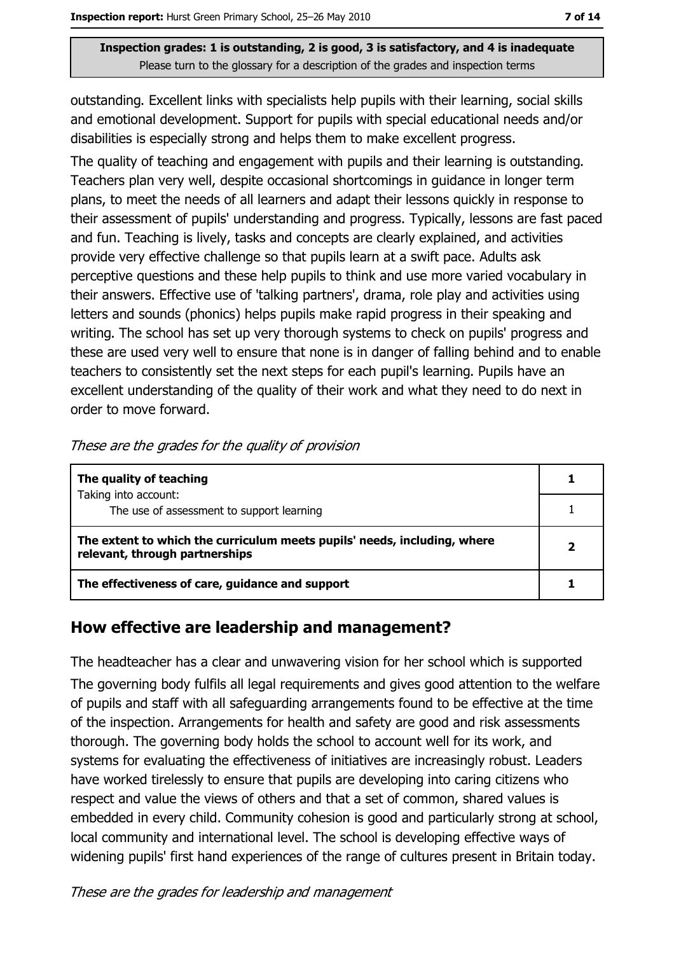outstanding. Excellent links with specialists help pupils with their learning, social skills and emotional development. Support for pupils with special educational needs and/or disabilities is especially strong and helps them to make excellent progress.

The quality of teaching and engagement with pupils and their learning is outstanding. Teachers plan very well, despite occasional shortcomings in quidance in longer term plans, to meet the needs of all learners and adapt their lessons quickly in response to their assessment of pupils' understanding and progress. Typically, lessons are fast paced and fun. Teaching is lively, tasks and concepts are clearly explained, and activities provide very effective challenge so that pupils learn at a swift pace. Adults ask perceptive questions and these help pupils to think and use more varied vocabulary in their answers. Effective use of 'talking partners', drama, role play and activities using letters and sounds (phonics) helps pupils make rapid progress in their speaking and writing. The school has set up very thorough systems to check on pupils' progress and these are used very well to ensure that none is in danger of falling behind and to enable teachers to consistently set the next steps for each pupil's learning. Pupils have an excellent understanding of the quality of their work and what they need to do next in order to move forward.

| The quality of teaching                                                                                    |  |
|------------------------------------------------------------------------------------------------------------|--|
| Taking into account:<br>The use of assessment to support learning                                          |  |
| The extent to which the curriculum meets pupils' needs, including, where<br>relevant, through partnerships |  |
| The effectiveness of care, guidance and support                                                            |  |

These are the grades for the quality of provision

#### How effective are leadership and management?

The headteacher has a clear and unwavering vision for her school which is supported The governing body fulfils all legal requirements and gives good attention to the welfare of pupils and staff with all safeguarding arrangements found to be effective at the time of the inspection. Arrangements for health and safety are good and risk assessments thorough. The governing body holds the school to account well for its work, and systems for evaluating the effectiveness of initiatives are increasingly robust. Leaders have worked tirelessly to ensure that pupils are developing into caring citizens who respect and value the views of others and that a set of common, shared values is embedded in every child. Community cohesion is good and particularly strong at school, local community and international level. The school is developing effective ways of widening pupils' first hand experiences of the range of cultures present in Britain today.

These are the grades for leadership and management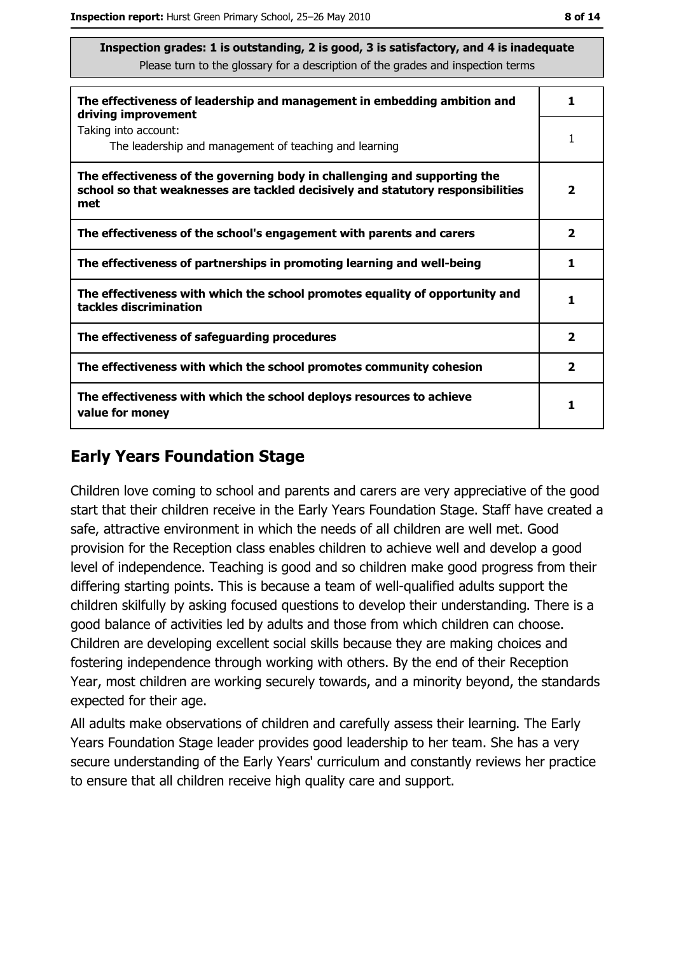| The effectiveness of leadership and management in embedding ambition and<br>driving improvement                                                                     | 1                       |
|---------------------------------------------------------------------------------------------------------------------------------------------------------------------|-------------------------|
| Taking into account:<br>The leadership and management of teaching and learning                                                                                      |                         |
| The effectiveness of the governing body in challenging and supporting the<br>school so that weaknesses are tackled decisively and statutory responsibilities<br>met | $\overline{\mathbf{2}}$ |
| The effectiveness of the school's engagement with parents and carers                                                                                                | $\overline{\mathbf{2}}$ |
| The effectiveness of partnerships in promoting learning and well-being                                                                                              | 1                       |
| The effectiveness with which the school promotes equality of opportunity and<br>tackles discrimination                                                              | 1                       |
| The effectiveness of safeguarding procedures                                                                                                                        | $\overline{\mathbf{2}}$ |
| The effectiveness with which the school promotes community cohesion                                                                                                 | $\overline{\mathbf{2}}$ |
| The effectiveness with which the school deploys resources to achieve<br>value for money                                                                             |                         |

## **Early Years Foundation Stage**

Children love coming to school and parents and carers are very appreciative of the good start that their children receive in the Early Years Foundation Stage. Staff have created a safe, attractive environment in which the needs of all children are well met. Good provision for the Reception class enables children to achieve well and develop a good level of independence. Teaching is good and so children make good progress from their differing starting points. This is because a team of well-qualified adults support the children skilfully by asking focused questions to develop their understanding. There is a good balance of activities led by adults and those from which children can choose. Children are developing excellent social skills because they are making choices and fostering independence through working with others. By the end of their Reception Year, most children are working securely towards, and a minority beyond, the standards expected for their age.

All adults make observations of children and carefully assess their learning. The Early Years Foundation Stage leader provides good leadership to her team. She has a very secure understanding of the Early Years' curriculum and constantly reviews her practice to ensure that all children receive high quality care and support.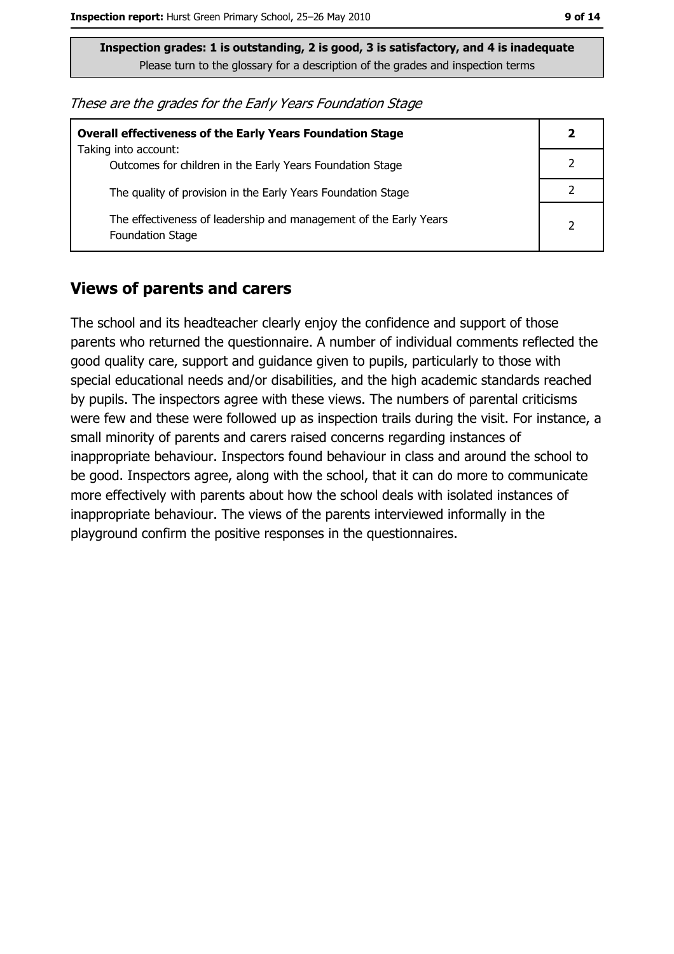| These are the grades for the Early Years Foundation Stage |  |  |
|-----------------------------------------------------------|--|--|
|-----------------------------------------------------------|--|--|

| <b>Overall effectiveness of the Early Years Foundation Stage</b>                             |               |
|----------------------------------------------------------------------------------------------|---------------|
| Taking into account:<br>Outcomes for children in the Early Years Foundation Stage            |               |
| The quality of provision in the Early Years Foundation Stage                                 |               |
| The effectiveness of leadership and management of the Early Years<br><b>Foundation Stage</b> | $\mathcal{P}$ |

#### **Views of parents and carers**

The school and its headteacher clearly enjoy the confidence and support of those parents who returned the questionnaire. A number of individual comments reflected the good quality care, support and guidance given to pupils, particularly to those with special educational needs and/or disabilities, and the high academic standards reached by pupils. The inspectors agree with these views. The numbers of parental criticisms were few and these were followed up as inspection trails during the visit. For instance, a small minority of parents and carers raised concerns regarding instances of inappropriate behaviour. Inspectors found behaviour in class and around the school to be good. Inspectors agree, along with the school, that it can do more to communicate more effectively with parents about how the school deals with isolated instances of inappropriate behaviour. The views of the parents interviewed informally in the playground confirm the positive responses in the questionnaires.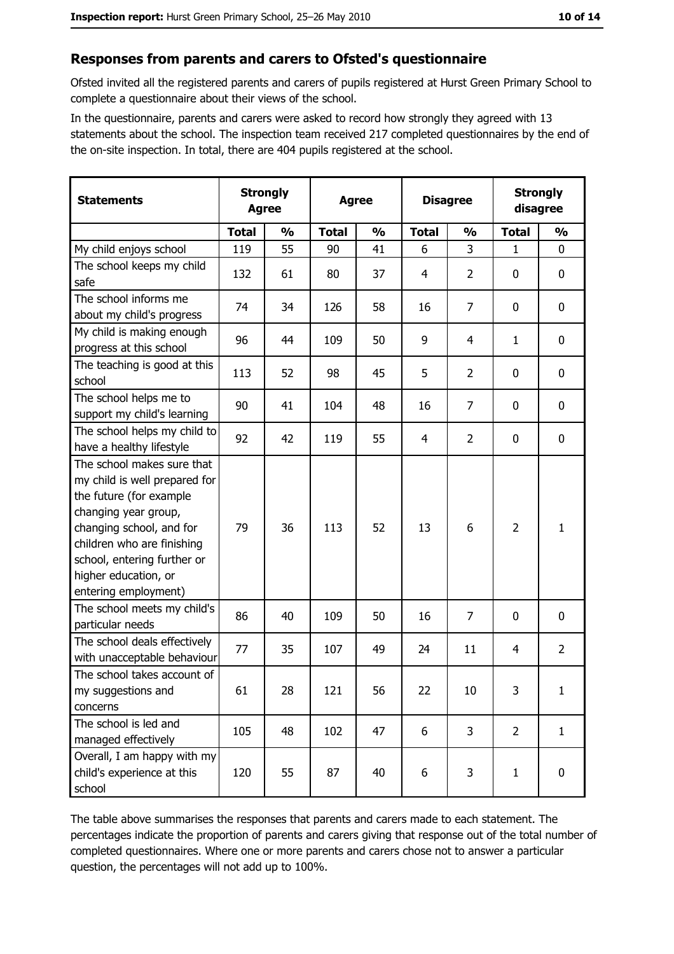#### Responses from parents and carers to Ofsted's questionnaire

Ofsted invited all the registered parents and carers of pupils registered at Hurst Green Primary School to complete a questionnaire about their views of the school.

In the questionnaire, parents and carers were asked to record how strongly they agreed with 13 statements about the school. The inspection team received 217 completed questionnaires by the end of the on-site inspection. In total, there are 404 pupils registered at the school.

| <b>Statements</b>                                                                                                                                                                                                                                       | <b>Strongly</b><br><b>Agree</b> |               | <b>Disagree</b><br><b>Agree</b> |               |              | <b>Strongly</b><br>disagree |                |                  |
|---------------------------------------------------------------------------------------------------------------------------------------------------------------------------------------------------------------------------------------------------------|---------------------------------|---------------|---------------------------------|---------------|--------------|-----------------------------|----------------|------------------|
|                                                                                                                                                                                                                                                         | <b>Total</b>                    | $\frac{0}{0}$ | <b>Total</b>                    | $\frac{0}{0}$ | <b>Total</b> | $\frac{0}{0}$               | <b>Total</b>   | $\frac{0}{0}$    |
| My child enjoys school                                                                                                                                                                                                                                  | 119                             | 55            | 90                              | 41            | 6            | 3                           | $\mathbf{1}$   | $\mathbf 0$      |
| The school keeps my child<br>safe                                                                                                                                                                                                                       | 132                             | 61            | 80                              | 37            | 4            | $\overline{2}$              | 0              | $\boldsymbol{0}$ |
| The school informs me<br>about my child's progress                                                                                                                                                                                                      | 74                              | 34            | 126                             | 58            | 16           | 7                           | 0              | 0                |
| My child is making enough<br>progress at this school                                                                                                                                                                                                    | 96                              | 44            | 109                             | 50            | 9            | 4                           | 1              | 0                |
| The teaching is good at this<br>school                                                                                                                                                                                                                  | 113                             | 52            | 98                              | 45            | 5            | 2                           | 0              | $\mathbf 0$      |
| The school helps me to<br>support my child's learning                                                                                                                                                                                                   | 90                              | 41            | 104                             | 48            | 16           | $\overline{7}$              | 0              | 0                |
| The school helps my child to<br>have a healthy lifestyle                                                                                                                                                                                                | 92                              | 42            | 119                             | 55            | 4            | 2                           | 0              | 0                |
| The school makes sure that<br>my child is well prepared for<br>the future (for example<br>changing year group,<br>changing school, and for<br>children who are finishing<br>school, entering further or<br>higher education, or<br>entering employment) | 79                              | 36            | 113                             | 52            | 13           | 6                           | $\overline{2}$ | $\mathbf{1}$     |
| The school meets my child's<br>particular needs                                                                                                                                                                                                         | 86                              | 40            | 109                             | 50            | 16           | 7                           | 0              | 0                |
| The school deals effectively<br>with unacceptable behaviour                                                                                                                                                                                             | 77                              | 35            | 107                             | 49            | 24           | 11                          | 4              | $\overline{2}$   |
| The school takes account of<br>my suggestions and<br>concerns                                                                                                                                                                                           | 61                              | 28            | 121                             | 56            | 22           | 10                          | 3              | $\mathbf{1}$     |
| The school is led and<br>managed effectively                                                                                                                                                                                                            | 105                             | 48            | 102                             | 47            | 6            | 3                           | $\overline{2}$ | $\mathbf{1}$     |
| Overall, I am happy with my<br>child's experience at this<br>school                                                                                                                                                                                     | 120                             | 55            | 87                              | 40            | 6            | 3                           | 1              | $\pmb{0}$        |

The table above summarises the responses that parents and carers made to each statement. The percentages indicate the proportion of parents and carers giving that response out of the total number of completed questionnaires. Where one or more parents and carers chose not to answer a particular question, the percentages will not add up to 100%.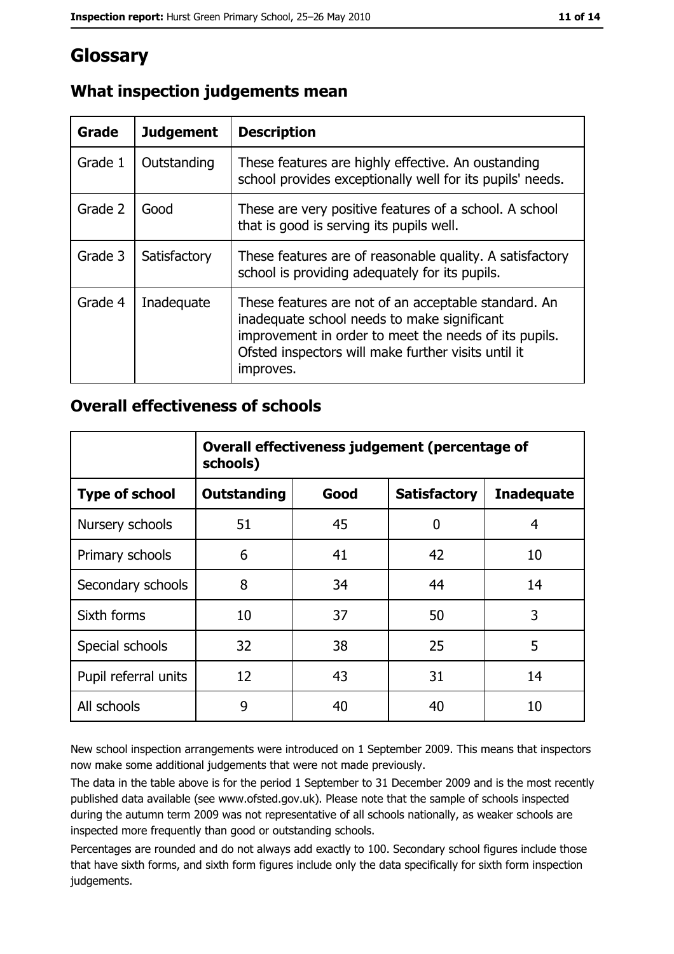## Glossary

| Grade   | <b>Judgement</b> | <b>Description</b>                                                                                                                                                                                                               |
|---------|------------------|----------------------------------------------------------------------------------------------------------------------------------------------------------------------------------------------------------------------------------|
| Grade 1 | Outstanding      | These features are highly effective. An oustanding<br>school provides exceptionally well for its pupils' needs.                                                                                                                  |
| Grade 2 | Good             | These are very positive features of a school. A school<br>that is good is serving its pupils well.                                                                                                                               |
| Grade 3 | Satisfactory     | These features are of reasonable quality. A satisfactory<br>school is providing adequately for its pupils.                                                                                                                       |
| Grade 4 | Inadequate       | These features are not of an acceptable standard. An<br>inadequate school needs to make significant<br>improvement in order to meet the needs of its pupils.<br>Ofsted inspectors will make further visits until it<br>improves. |

## What inspection judgements mean

#### **Overall effectiveness of schools**

|                       | Overall effectiveness judgement (percentage of<br>schools) |      |                     |                   |  |
|-----------------------|------------------------------------------------------------|------|---------------------|-------------------|--|
| <b>Type of school</b> | <b>Outstanding</b>                                         | Good | <b>Satisfactory</b> | <b>Inadequate</b> |  |
| Nursery schools       | 51                                                         | 45   | 0                   | 4                 |  |
| Primary schools       | 6                                                          | 41   | 42                  | 10                |  |
| Secondary schools     | 8                                                          | 34   | 44                  | 14                |  |
| Sixth forms           | 10                                                         | 37   | 50                  | 3                 |  |
| Special schools       | 32                                                         | 38   | 25                  | 5                 |  |
| Pupil referral units  | 12                                                         | 43   | 31                  | 14                |  |
| All schools           | 9                                                          | 40   | 40                  | 10                |  |

New school inspection arrangements were introduced on 1 September 2009. This means that inspectors now make some additional judgements that were not made previously.

The data in the table above is for the period 1 September to 31 December 2009 and is the most recently published data available (see www.ofsted.gov.uk). Please note that the sample of schools inspected during the autumn term 2009 was not representative of all schools nationally, as weaker schools are inspected more frequently than good or outstanding schools.

Percentages are rounded and do not always add exactly to 100. Secondary school figures include those that have sixth forms, and sixth form figures include only the data specifically for sixth form inspection judgements.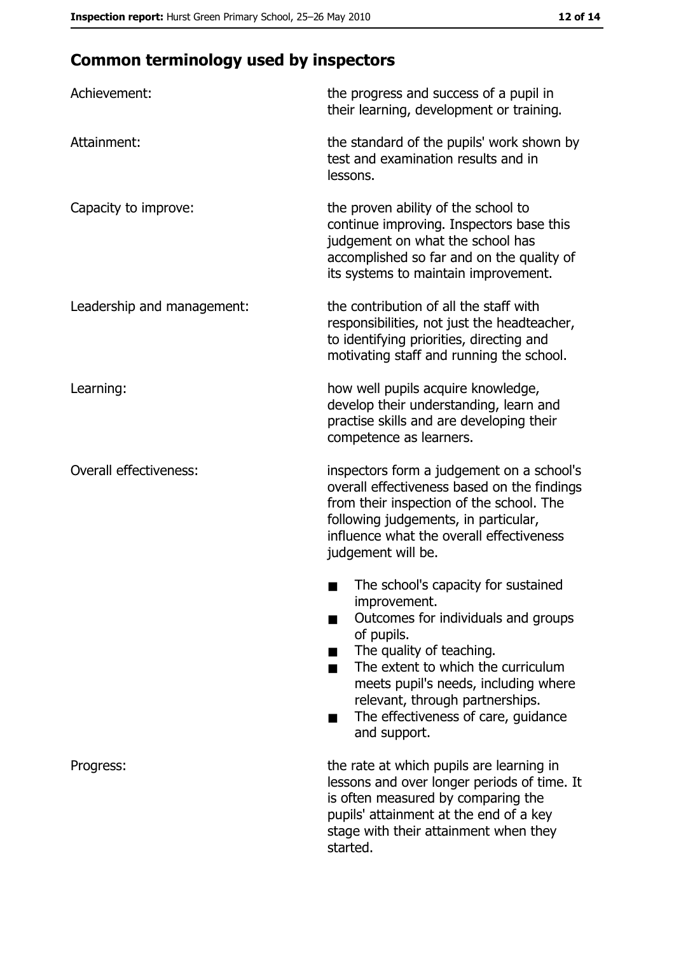# **Common terminology used by inspectors**

| Achievement:                  | the progress and success of a pupil in<br>their learning, development or training.                                                                                                                                                                                                                           |
|-------------------------------|--------------------------------------------------------------------------------------------------------------------------------------------------------------------------------------------------------------------------------------------------------------------------------------------------------------|
| Attainment:                   | the standard of the pupils' work shown by<br>test and examination results and in<br>lessons.                                                                                                                                                                                                                 |
| Capacity to improve:          | the proven ability of the school to<br>continue improving. Inspectors base this<br>judgement on what the school has<br>accomplished so far and on the quality of<br>its systems to maintain improvement.                                                                                                     |
| Leadership and management:    | the contribution of all the staff with<br>responsibilities, not just the headteacher,<br>to identifying priorities, directing and<br>motivating staff and running the school.                                                                                                                                |
| Learning:                     | how well pupils acquire knowledge,<br>develop their understanding, learn and<br>practise skills and are developing their<br>competence as learners.                                                                                                                                                          |
| <b>Overall effectiveness:</b> | inspectors form a judgement on a school's<br>overall effectiveness based on the findings<br>from their inspection of the school. The<br>following judgements, in particular,<br>influence what the overall effectiveness<br>judgement will be.                                                               |
|                               | The school's capacity for sustained<br>improvement.<br>Outcomes for individuals and groups<br>of pupils.<br>The quality of teaching.<br>The extent to which the curriculum<br>meets pupil's needs, including where<br>relevant, through partnerships.<br>The effectiveness of care, guidance<br>and support. |
| Progress:                     | the rate at which pupils are learning in<br>lessons and over longer periods of time. It<br>is often measured by comparing the<br>pupils' attainment at the end of a key<br>stage with their attainment when they<br>started.                                                                                 |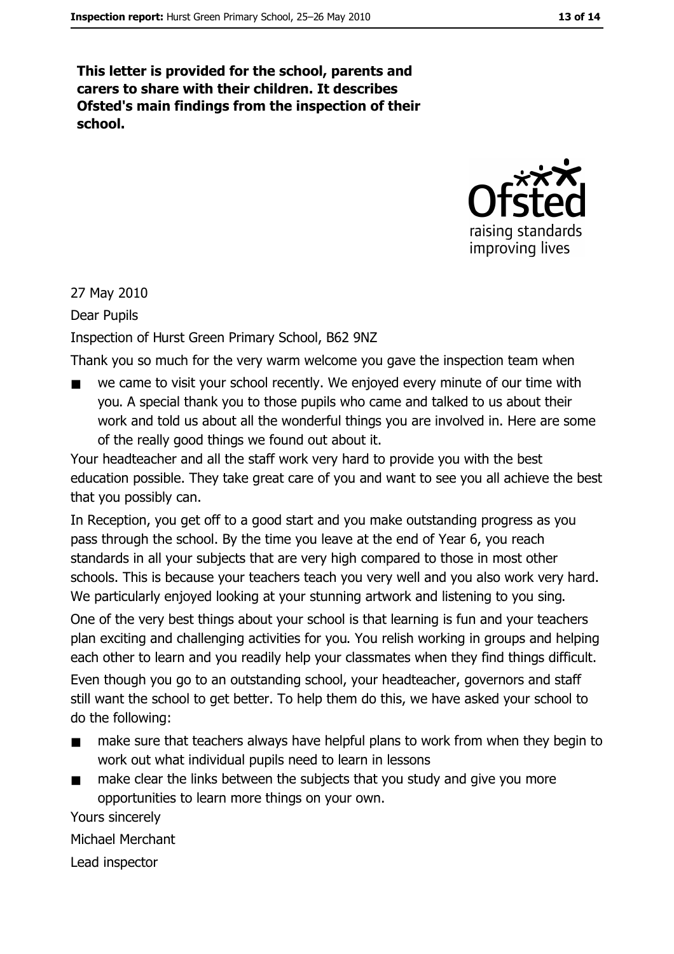This letter is provided for the school, parents and carers to share with their children. It describes Ofsted's main findings from the inspection of their school.



#### 27 May 2010

Dear Pupils

Inspection of Hurst Green Primary School, B62 9NZ

Thank you so much for the very warm welcome you gave the inspection team when

we came to visit your school recently. We enjoyed every minute of our time with  $\blacksquare$ you. A special thank you to those pupils who came and talked to us about their work and told us about all the wonderful things you are involved in. Here are some of the really good things we found out about it.

Your headteacher and all the staff work very hard to provide you with the best education possible. They take great care of you and want to see you all achieve the best that you possibly can.

In Reception, you get off to a good start and you make outstanding progress as you pass through the school. By the time you leave at the end of Year 6, you reach standards in all your subjects that are very high compared to those in most other schools. This is because your teachers teach you very well and you also work very hard. We particularly enjoyed looking at your stunning artwork and listening to you sing.

One of the very best things about your school is that learning is fun and your teachers plan exciting and challenging activities for you. You relish working in groups and helping each other to learn and you readily help your classmates when they find things difficult.

Even though you go to an outstanding school, your headteacher, governors and staff still want the school to get better. To help them do this, we have asked your school to do the following:

- make sure that teachers always have helpful plans to work from when they begin to  $\blacksquare$ work out what individual pupils need to learn in lessons
- make clear the links between the subjects that you study and give you more opportunities to learn more things on your own.

Yours sincerely

Michael Merchant

Lead inspector